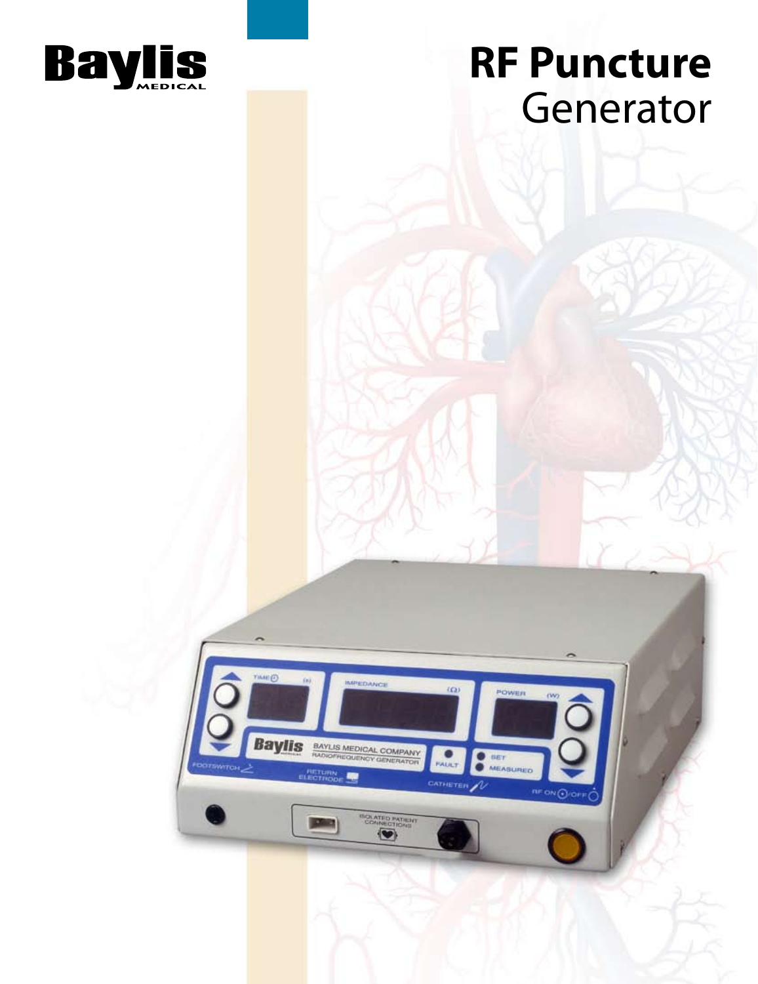

## **RF Puncture** Generator